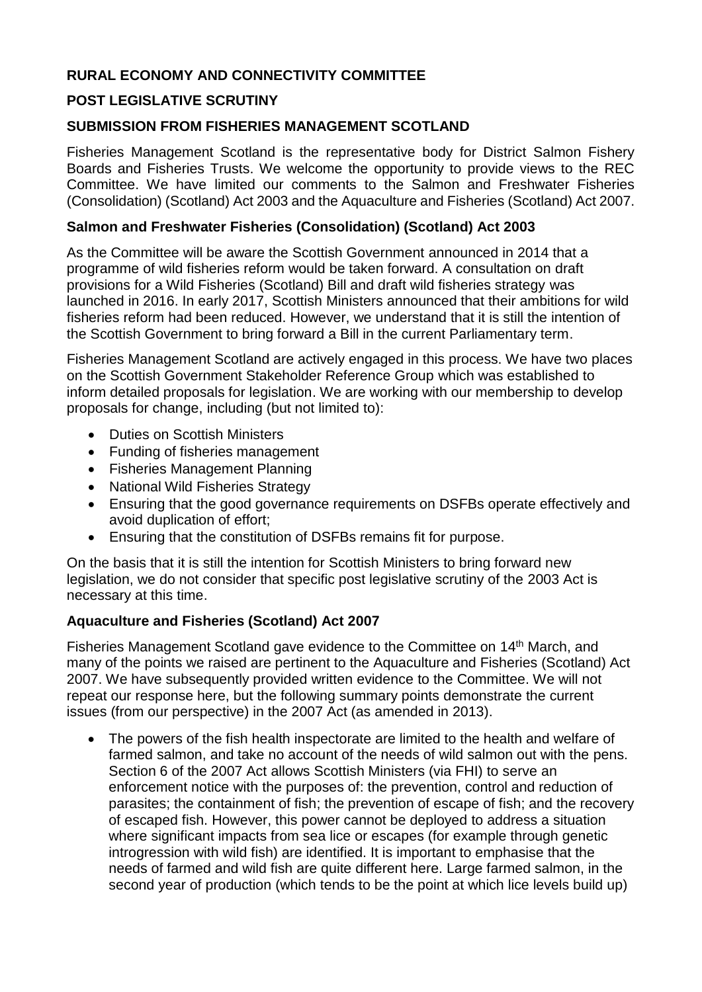# **RURAL ECONOMY AND CONNECTIVITY COMMITTEE**

## **POST LEGISLATIVE SCRUTINY**

### **SUBMISSION FROM FISHERIES MANAGEMENT SCOTLAND**

Fisheries Management Scotland is the representative body for District Salmon Fishery Boards and Fisheries Trusts. We welcome the opportunity to provide views to the REC Committee. We have limited our comments to the Salmon and Freshwater Fisheries (Consolidation) (Scotland) Act 2003 and the Aquaculture and Fisheries (Scotland) Act 2007.

#### **Salmon and Freshwater Fisheries (Consolidation) (Scotland) Act 2003**

As the Committee will be aware the Scottish Government announced in 2014 that a programme of wild fisheries reform would be taken forward. A consultation on draft provisions for a Wild Fisheries (Scotland) Bill and draft wild fisheries strategy was launched in 2016. In early 2017, Scottish Ministers announced that their ambitions for wild fisheries reform had been reduced. However, we understand that it is still the intention of the Scottish Government to bring forward a Bill in the current Parliamentary term.

Fisheries Management Scotland are actively engaged in this process. We have two places on the Scottish Government Stakeholder Reference Group which was established to inform detailed proposals for legislation. We are working with our membership to develop proposals for change, including (but not limited to):

- Duties on Scottish Ministers
- Funding of fisheries management
- Fisheries Management Planning
- National Wild Fisheries Strategy
- Ensuring that the good governance requirements on DSFBs operate effectively and avoid duplication of effort;
- Ensuring that the constitution of DSFBs remains fit for purpose.

On the basis that it is still the intention for Scottish Ministers to bring forward new legislation, we do not consider that specific post legislative scrutiny of the 2003 Act is necessary at this time.

## **Aquaculture and Fisheries (Scotland) Act 2007**

Fisheries Management Scotland gave evidence to the Committee on 14th March, and many of the points we raised are pertinent to the Aquaculture and Fisheries (Scotland) Act 2007. We have subsequently provided written evidence to the Committee. We will not repeat our response here, but the following summary points demonstrate the current issues (from our perspective) in the 2007 Act (as amended in 2013).

• The powers of the fish health inspectorate are limited to the health and welfare of farmed salmon, and take no account of the needs of wild salmon out with the pens. Section 6 of the 2007 Act allows Scottish Ministers (via FHI) to serve an enforcement notice with the purposes of: the prevention, control and reduction of parasites; the containment of fish; the prevention of escape of fish; and the recovery of escaped fish. However, this power cannot be deployed to address a situation where significant impacts from sea lice or escapes (for example through genetic introgression with wild fish) are identified. It is important to emphasise that the needs of farmed and wild fish are quite different here. Large farmed salmon, in the second year of production (which tends to be the point at which lice levels build up)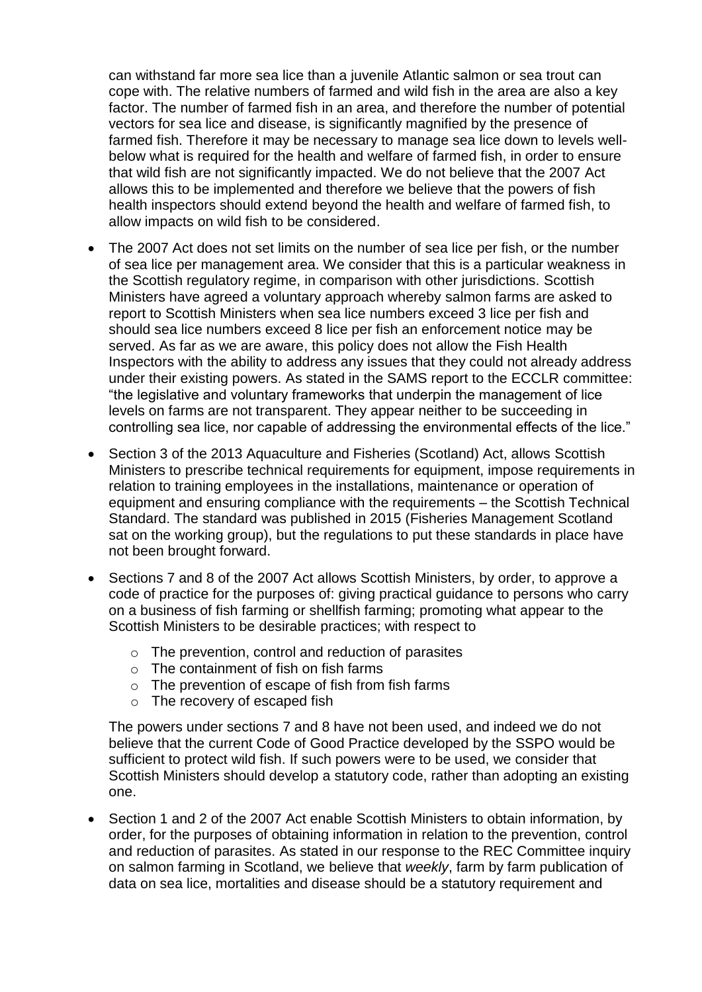can withstand far more sea lice than a juvenile Atlantic salmon or sea trout can cope with. The relative numbers of farmed and wild fish in the area are also a key factor. The number of farmed fish in an area, and therefore the number of potential vectors for sea lice and disease, is significantly magnified by the presence of farmed fish. Therefore it may be necessary to manage sea lice down to levels wellbelow what is required for the health and welfare of farmed fish, in order to ensure that wild fish are not significantly impacted. We do not believe that the 2007 Act allows this to be implemented and therefore we believe that the powers of fish health inspectors should extend beyond the health and welfare of farmed fish, to allow impacts on wild fish to be considered.

- The 2007 Act does not set limits on the number of sea lice per fish, or the number of sea lice per management area. We consider that this is a particular weakness in the Scottish regulatory regime, in comparison with other jurisdictions. Scottish Ministers have agreed a voluntary approach whereby salmon farms are asked to report to Scottish Ministers when sea lice numbers exceed 3 lice per fish and should sea lice numbers exceed 8 lice per fish an enforcement notice may be served. As far as we are aware, this policy does not allow the Fish Health Inspectors with the ability to address any issues that they could not already address under their existing powers. As stated in the SAMS report to the ECCLR committee: "the legislative and voluntary frameworks that underpin the management of lice levels on farms are not transparent. They appear neither to be succeeding in controlling sea lice, nor capable of addressing the environmental effects of the lice."
- Section 3 of the 2013 Aquaculture and Fisheries (Scotland) Act, allows Scottish Ministers to prescribe technical requirements for equipment, impose requirements in relation to training employees in the installations, maintenance or operation of equipment and ensuring compliance with the requirements – the Scottish Technical Standard. The standard was published in 2015 (Fisheries Management Scotland sat on the working group), but the regulations to put these standards in place have not been brought forward.
- Sections 7 and 8 of the 2007 Act allows Scottish Ministers, by order, to approve a code of practice for the purposes of: giving practical guidance to persons who carry on a business of fish farming or shellfish farming; promoting what appear to the Scottish Ministers to be desirable practices; with respect to
	- o The prevention, control and reduction of parasites
	- $\circ$  The containment of fish on fish farms
	- o The prevention of escape of fish from fish farms
	- o The recovery of escaped fish

The powers under sections 7 and 8 have not been used, and indeed we do not believe that the current Code of Good Practice developed by the SSPO would be sufficient to protect wild fish. If such powers were to be used, we consider that Scottish Ministers should develop a statutory code, rather than adopting an existing one.

• Section 1 and 2 of the 2007 Act enable Scottish Ministers to obtain information, by order, for the purposes of obtaining information in relation to the prevention, control and reduction of parasites. As stated in our response to the REC Committee inquiry on salmon farming in Scotland, we believe that *weekly*, farm by farm publication of data on sea lice, mortalities and disease should be a statutory requirement and